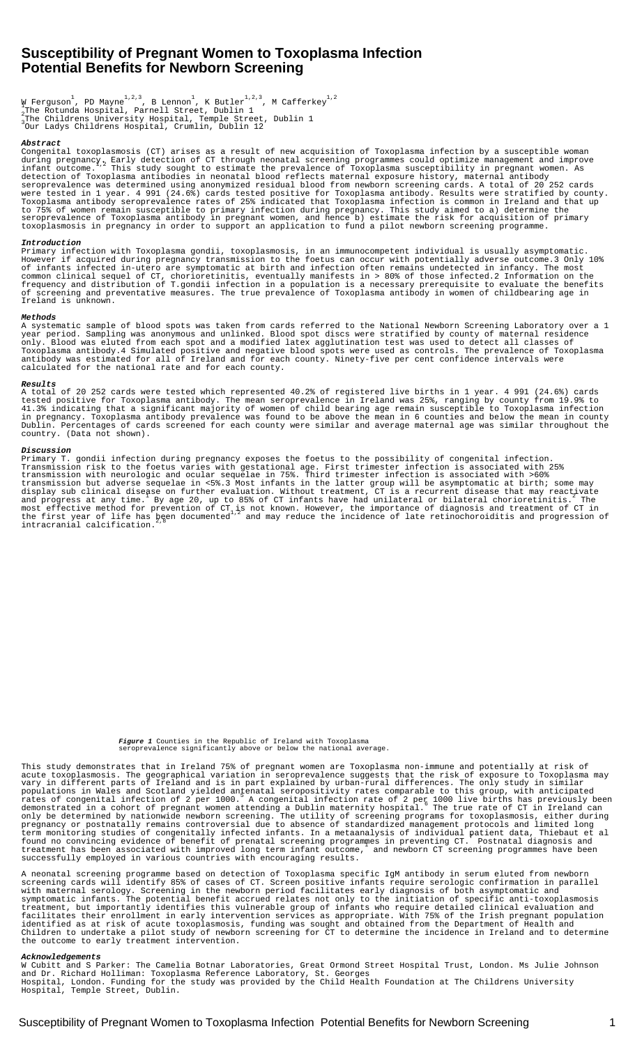# **Susceptibility of Pregnant Women to Toxoplasma Infection â Potential Benefits for Newborn Screening**

W Ferguson<sup>1</sup>, PD Mayne<sup>1,2,3</sup>, B Lennon<sup>1</sup>, K Butler<sup>1,2,3</sup>, M Cafferkey<sup>1,2</sup><br>1The Rotunda Hospital, Parnell Street, Dublin 1 The Childrenâ s University Hospital, Temple Street, Dublin 1 The Rotunua Rospital, I.<br>The Childrenâ s University Hospital, Temple Street, D.<br>Our Ladyâ s Childrenâ s Hospital, Crumlin, Dublin 12

#### **Abstract**

Congenital toxoplasmosis (CT) arises as a result of new acquisition of Toxoplasma infection by a susceptible woman during pregnancy, Early detection of CT through neonatal screening programmes could optimize management and improve<br>infant outcome. This study sought to estimate the prevalence of Toxoplasma susceptibility in pregnant wome detection of Toxoplasma antibodies in neonatal blood reflects maternal exposure history, maternal antibody seroprevalence was determined using anonymized residual blood from newborn screening cards. A total of 20 252 cards were tested in 1 year. 4 991 (24.6%) cards tested positive for Toxoplasma antibody. Results were stratified by county. Toxoplasma antibody seroprevalence rates of 25% indicated that Toxoplasma infection is common in Ireland and that up to 75% of women remain susceptible to primary infection during pregnancy. This study aimed to a) determine the seroprevalence of Toxoplasma antibody in pregnant women, and hence b) estimate the risk for acquisition of primary toxoplasmosis in pregnancy in order to support an application to fund a pilot newborn screening programme.

### **Introduction**

Primary infection with Toxoplasma gondii, toxoplasmosis, in an immunocompetent individual is usually asymptomatic. However if acquired during pregnancy transmission to the foetus can occur with potentially adverse outcome.3 Only 10% of infants infected in-utero are symptomatic at birth and infection often remains undetected in infancy. The most common clinical sequel of CT, chorioretinitis, eventually manifests in > 80% of those infected.2 Information on the frequency and distribution of T.gondii infection in a population is a necessary prerequisite to evaluate the benefits of screening and preventative measures. The true prevalence of Toxoplasma antibody in women of childbearing age in Ireland is unknown.

#### **Methods**

A systematic sample of blood spots was taken from cards referred to the National Newborn Screening Laboratory over a 1 year period. Sampling was anonymous and unlinked. Blood spot discs were stratified by county of maternal residence only. Blood was eluted from each spot and a modified latex agglutination test was used to detect all classes of Toxoplasma antibody.4 Simulated positive and negative blood spots were used as controls. The prevalence of Toxoplasma antibody was estimated for all of Ireland and for each county. Ninety-five per cent confidence intervals were calculated for the national rate and for each county.

### **Results**

A total of 20 252 cards were tested which represented 40.2% of registered live births in 1 year. 4 991 (24.6%) cards tested positive for Toxoplasma antibody. The mean seroprevalence in Ireland was 25%, ranging by county from 19.9% to 41.3% indicating that a significant majority of women of child bearing age remain susceptible to Toxoplasma infection in pregnancy. Toxoplasma antibody prevalence was found to be above the mean in 6 counties and below the mean in county Dublin. Percentages of cards screened for each county were similar and average maternal age was similar throughout the country. (Data not shown).

#### **Discussion**

Primary T. gondii infection during pregnancy exposes the foetus to the possibility of congenital infection. Transmission risk to the foetus varies with gestational age. First trimester infection is associated with 25% transmission with neurologic and ocular sequelae in 75%. Third trimester infection is associated with >60% transmission but adverse sequelae in <5%.3 Most infants in the latter group will be asymptomatic at birth; some may display sub clinical disease on further evaluation. Without treatment, CT is a recurrent disease that may reactivate<br>and progress at any time. By age 20, up to 85% of CT infants have had unilateral or bilateral chorioretin most effective method for prevention of CT,is not known. However, the importance of diagnosis and treatment of CT in<br>the first year of life has been documented '' and may reduce the incidence of late retinochoroiditis and intracranial calcification.<sup>2,8</sup>

# **Figure 1** Counties in the Republic of Ireland with Toxoplasma seroprevalence significantly above or below the national average.

This study demonstrates that in Ireland 75% of pregnant women are Toxoplasma non-immune and potentially at risk of acute toxoplasmosis. The geographical variation in seroprevalence suggests that the risk of exposure to Toxoplasma may vary in different parts of Ireland and is in part explained by urban-rural differences. The only study in similar populations in Wales and Scotland yielded antenatal seropositivity rates comparable to this group, with anticipated<br>rates of congenital infection of 2 per 1000. A congenital infection rate of 2 per 1000 live births has pre only be determined by nationwide newborn screening. The utility of screening programs for toxoplasmosis, either during pregnancy or postnatally remains controversial due to absence of standardized management protocols and limited long term monitoring studies of congenitally infected infants. In a metaanalysis of individual patient data, Thiebaut et al<br>found no convincing evidence of benefit of prenatal screening programmes in preventing CT. Postnatal di successfully employed in various countries with encouraging results.

A neonatal screening programme based on detection of Toxoplasma specific IgM antibody in serum eluted from newborn screening cards will identify 85% of cases of CT. Screen positive infants require serologic confirmation in parallel with maternal serology. Screening in the newborn period facilitates early diagnosis of both asymptomatic and symptomatic infants. The potential benefit accrued relates not only to the initiation of specific anti-toxoplasmosis treatment, but importantly identifies this vulnerable group of infants who require detailed clinical evaluation and facilitates their enrollment in early intervention services as appropriate. With 75% of the Irish pregnant population identified as at risk of acute toxoplasmosis, funding was sought and obtained from the Department of Health and Children to undertake a pilot study of newborn screening for CT to determine the incidence in Ireland and to determine the outcome to early treatment intervention.

#### rledgem

W Cubitt and S Parker: The Camelia Botnar Laboratories, Great Ormond Street Hospital Trust, London. Ms Julie Johnson and Dr. Richard Holliman: Toxoplasma Reference Laboratory, St. Georgeâ s Hospital, London. Funding for the study was provided by the Child Health Foundation at The Children**â** s University Hospital, Temple Street, Dublin.